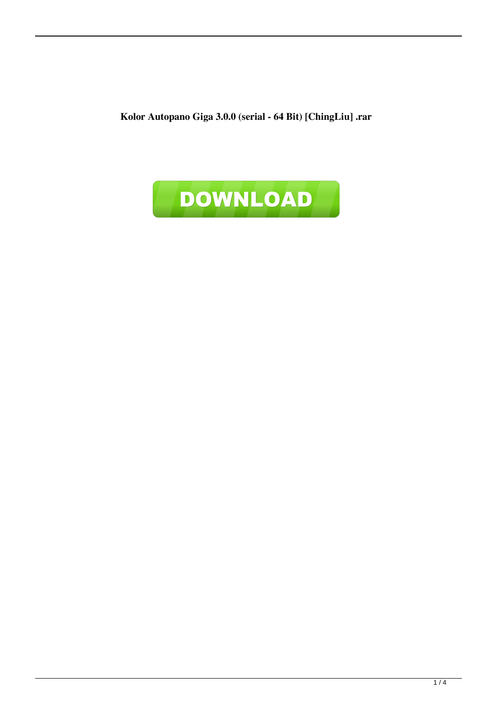**Kolor Autopano Giga 3.0.0 (serial - 64 Bit) [ChingLiu] .rar**

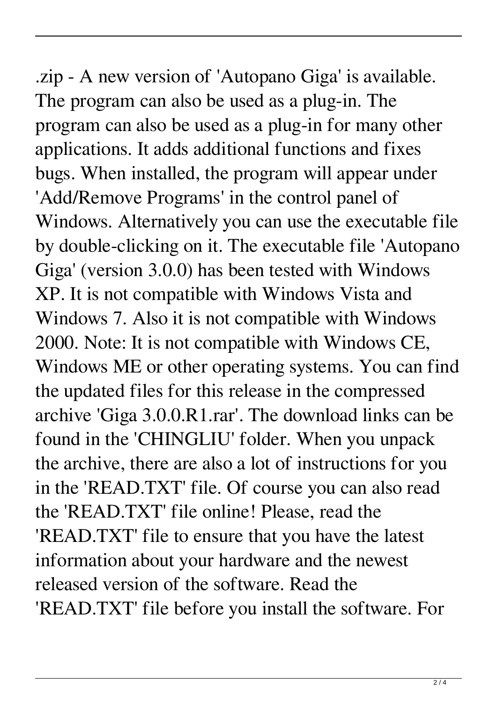.zip - A new version of 'Autopano Giga' is available. The program can also be used as a plug-in. The program can also be used as a plug-in for many other applications. It adds additional functions and fixes bugs. When installed, the program will appear under 'Add/Remove Programs' in the control panel of Windows. Alternatively you can use the executable file by double-clicking on it. The executable file 'Autopano Giga' (version 3.0.0) has been tested with Windows XP. It is not compatible with Windows Vista and Windows 7. Also it is not compatible with Windows 2000. Note: It is not compatible with Windows CE, Windows ME or other operating systems. You can find the updated files for this release in the compressed archive 'Giga 3.0.0.R1.rar'. The download links can be found in the 'CHINGLIU' folder. When you unpack the archive, there are also a lot of instructions for you in the 'READ.TXT' file. Of course you can also read the 'READ.TXT' file online! Please, read the 'READ.TXT' file to ensure that you have the latest information about your hardware and the newest released version of the software. Read the 'READ.TXT' file before you install the software. For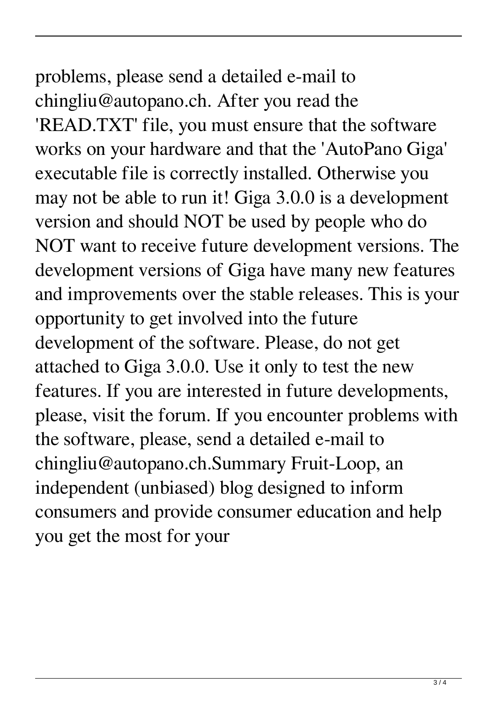problems, please send a detailed e-mail to chingliu@autopano.ch. After you read the 'READ.TXT' file, you must ensure that the software works on your hardware and that the 'AutoPano Giga' executable file is correctly installed. Otherwise you may not be able to run it! Giga 3.0.0 is a development version and should NOT be used by people who do NOT want to receive future development versions. The development versions of Giga have many new features and improvements over the stable releases. This is your opportunity to get involved into the future development of the software. Please, do not get attached to Giga 3.0.0. Use it only to test the new features. If you are interested in future developments, please, visit the forum. If you encounter problems with the software, please, send a detailed e-mail to chingliu@autopano.ch.Summary Fruit-Loop, an independent (unbiased) blog designed to inform consumers and provide consumer education and help you get the most for your